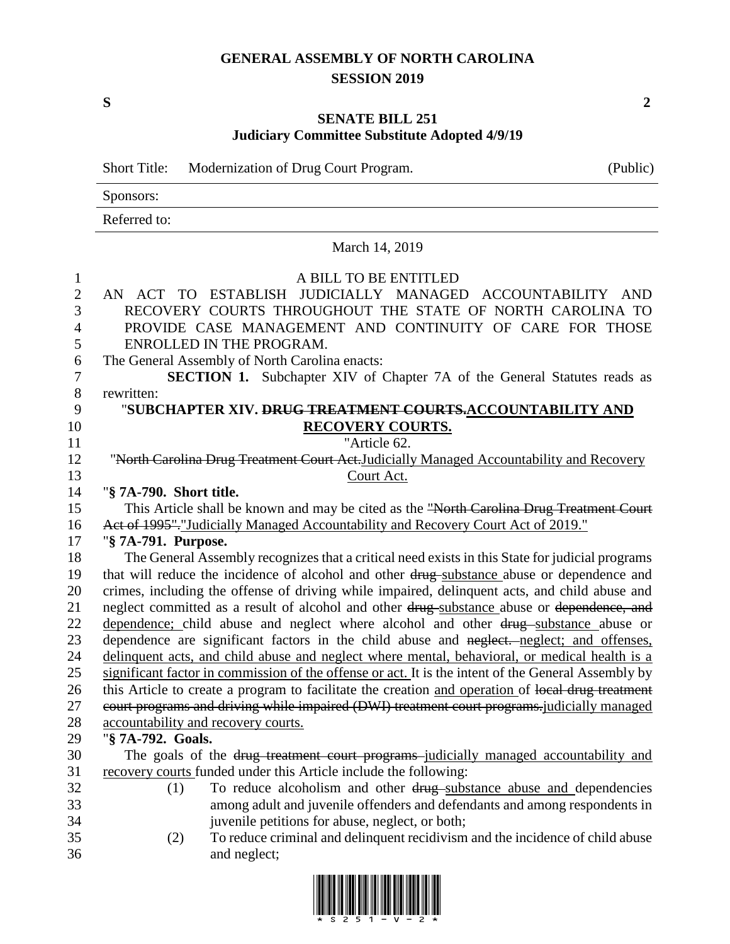## **GENERAL ASSEMBLY OF NORTH CAROLINA SESSION 2019**

**S 2**

## **SENATE BILL 251 Judiciary Committee Substitute Adopted 4/9/19**

Short Title: Modernization of Drug Court Program. (Public)

|                | Sponsors:                                                                                           |  |  |  |  |
|----------------|-----------------------------------------------------------------------------------------------------|--|--|--|--|
|                | Referred to:<br>March 14, 2019                                                                      |  |  |  |  |
|                |                                                                                                     |  |  |  |  |
| $\mathbf{1}$   | A BILL TO BE ENTITLED                                                                               |  |  |  |  |
| $\overline{2}$ | AN ACT TO ESTABLISH JUDICIALLY MANAGED ACCOUNTABILITY AND                                           |  |  |  |  |
| 3              | RECOVERY COURTS THROUGHOUT THE STATE OF NORTH CAROLINA TO                                           |  |  |  |  |
| $\overline{4}$ | PROVIDE CASE MANAGEMENT AND CONTINUITY OF CARE FOR THOSE                                            |  |  |  |  |
| 5              | ENROLLED IN THE PROGRAM.                                                                            |  |  |  |  |
| 6              | The General Assembly of North Carolina enacts:                                                      |  |  |  |  |
| $\tau$         | SECTION 1. Subchapter XIV of Chapter 7A of the General Statutes reads as                            |  |  |  |  |
| $8\,$          | rewritten:                                                                                          |  |  |  |  |
| 9              | "SUBCHAPTER XIV. <del>DRUG TREATMENT COURTS.</del> ACCOUNTABILITY AND                               |  |  |  |  |
| 10             | <b>RECOVERY COURTS.</b>                                                                             |  |  |  |  |
| 11             | "Article 62.                                                                                        |  |  |  |  |
| 12             | "North Carolina Drug Treatment Court Act.Judicially Managed Accountability and Recovery             |  |  |  |  |
| 13             | Court Act.                                                                                          |  |  |  |  |
| 14             | "§ 7A-790. Short title.                                                                             |  |  |  |  |
| 15             | This Article shall be known and may be cited as the "North Carolina Drug Treatment Court            |  |  |  |  |
| 16             | Act of 1995". "Judicially Managed Accountability and Recovery Court Act of 2019."                   |  |  |  |  |
| 17             | "§ 7A-791. Purpose.                                                                                 |  |  |  |  |
| 18             | The General Assembly recognizes that a critical need exists in this State for judicial programs     |  |  |  |  |
| 19             | that will reduce the incidence of alcohol and other drug-substance abuse or dependence and          |  |  |  |  |
| 20             | crimes, including the offense of driving while impaired, delinquent acts, and child abuse and       |  |  |  |  |
| 21             | neglect committed as a result of alcohol and other drug-substance abuse or dependence, and          |  |  |  |  |
| 22             | dependence; child abuse and neglect where alcohol and other drug substance abuse or                 |  |  |  |  |
| 23             | dependence are significant factors in the child abuse and neglect. neglect; and offenses,           |  |  |  |  |
| 24             | delinquent acts, and child abuse and neglect where mental, behavioral, or medical health is a       |  |  |  |  |
| 25             | significant factor in commission of the offense or act. It is the intent of the General Assembly by |  |  |  |  |
| 26             | this Article to create a program to facilitate the creation and operation of local drug treatment   |  |  |  |  |
| 27             | court programs and driving while impaired (DWI) treatment court programs-judicially managed         |  |  |  |  |
| $28\,$         | accountability and recovery courts.                                                                 |  |  |  |  |
| 29             | "§ 7A-792. Goals.                                                                                   |  |  |  |  |
| 30             | The goals of the drug treatment court programs-judicially managed accountability and                |  |  |  |  |
| 31             | recovery courts funded under this Article include the following:                                    |  |  |  |  |
| 32             | To reduce alcoholism and other drug-substance abuse and dependencies<br>(1)                         |  |  |  |  |
| 33             | among adult and juvenile offenders and defendants and among respondents in                          |  |  |  |  |
| 34             | juvenile petitions for abuse, neglect, or both;                                                     |  |  |  |  |
| 35             | To reduce criminal and delinquent recidivism and the incidence of child abuse<br>(2)                |  |  |  |  |
| 36             | and neglect;                                                                                        |  |  |  |  |

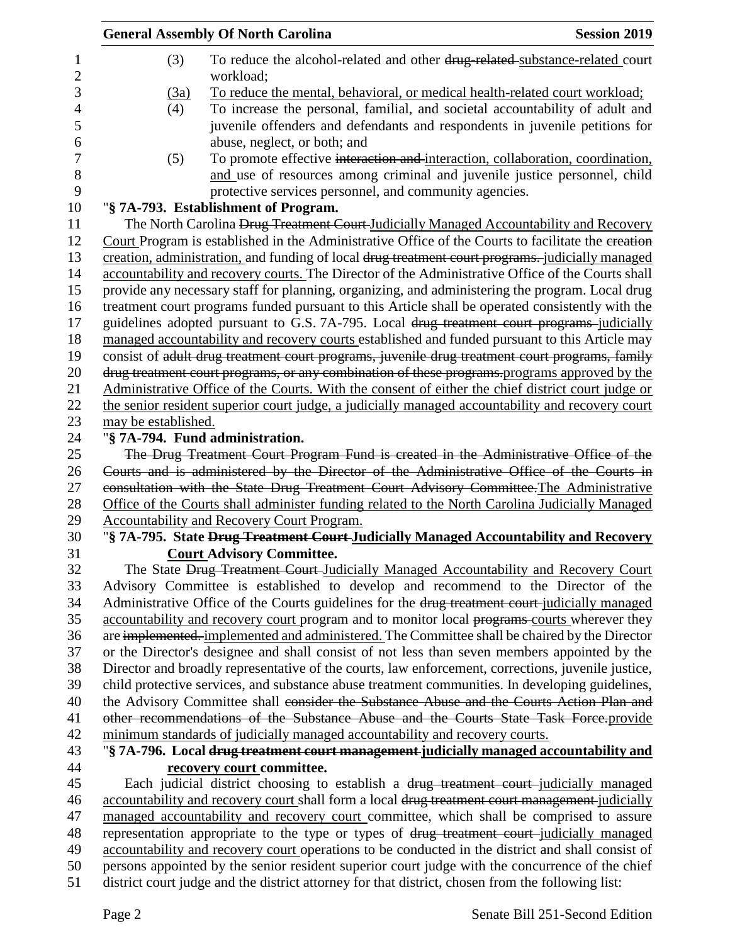|                     | <b>General Assembly Of North Carolina</b>                                                                                                                                           |                                                                                                                                                                                                                       | <b>Session 2019</b> |  |  |
|---------------------|-------------------------------------------------------------------------------------------------------------------------------------------------------------------------------------|-----------------------------------------------------------------------------------------------------------------------------------------------------------------------------------------------------------------------|---------------------|--|--|
| 1<br>$\overline{c}$ | (3)                                                                                                                                                                                 | To reduce the alcohol-related and other drug-related-substance-related court<br>workload;                                                                                                                             |                     |  |  |
| 3                   | (3a)                                                                                                                                                                                | To reduce the mental, behavioral, or medical health-related court workload;                                                                                                                                           |                     |  |  |
| 4<br>5<br>6         | (4)                                                                                                                                                                                 | To increase the personal, familial, and societal accountability of adult and<br>juvenile offenders and defendants and respondents in juvenile petitions for<br>abuse, neglect, or both; and                           |                     |  |  |
| 7<br>8<br>9         | (5)                                                                                                                                                                                 | To promote effective interaction and interaction, collaboration, coordination,<br>and use of resources among criminal and juvenile justice personnel, child<br>protective services personnel, and community agencies. |                     |  |  |
| 10                  |                                                                                                                                                                                     | "§ 7A-793. Establishment of Program.                                                                                                                                                                                  |                     |  |  |
| 11                  |                                                                                                                                                                                     | The North Carolina Drug Treatment Court Judicially Managed Accountability and Recovery                                                                                                                                |                     |  |  |
| 12                  |                                                                                                                                                                                     | Court Program is established in the Administrative Office of the Courts to facilitate the ereation                                                                                                                    |                     |  |  |
| 13                  | creation, administration, and funding of local drug treatment court programs. judicially managed                                                                                    |                                                                                                                                                                                                                       |                     |  |  |
| 14                  |                                                                                                                                                                                     | accountability and recovery courts. The Director of the Administrative Office of the Courts shall                                                                                                                     |                     |  |  |
| 15                  |                                                                                                                                                                                     | provide any necessary staff for planning, organizing, and administering the program. Local drug                                                                                                                       |                     |  |  |
| 16                  |                                                                                                                                                                                     | treatment court programs funded pursuant to this Article shall be operated consistently with the                                                                                                                      |                     |  |  |
| 17                  |                                                                                                                                                                                     | guidelines adopted pursuant to G.S. 7A-795. Local drug treatment court programs-judicially                                                                                                                            |                     |  |  |
| 18                  |                                                                                                                                                                                     | managed accountability and recovery courts established and funded pursuant to this Article may                                                                                                                        |                     |  |  |
| 19                  |                                                                                                                                                                                     | consist of adult drug treatment court programs, juvenile drug treatment court programs, family                                                                                                                        |                     |  |  |
| 20                  |                                                                                                                                                                                     | drug treatment court programs, or any combination of these programs programs approved by the                                                                                                                          |                     |  |  |
| 21                  |                                                                                                                                                                                     | Administrative Office of the Courts. With the consent of either the chief district court judge or                                                                                                                     |                     |  |  |
| 22                  |                                                                                                                                                                                     | the senior resident superior court judge, a judicially managed accountability and recovery court                                                                                                                      |                     |  |  |
| 23                  | may be established.                                                                                                                                                                 |                                                                                                                                                                                                                       |                     |  |  |
| 24                  |                                                                                                                                                                                     | "§ 7A-794. Fund administration.                                                                                                                                                                                       |                     |  |  |
| 25                  |                                                                                                                                                                                     | The Drug Treatment Court Program Fund is created in the Administrative Office of the                                                                                                                                  |                     |  |  |
| 26                  |                                                                                                                                                                                     |                                                                                                                                                                                                                       |                     |  |  |
| 27                  | Courts and is administered by the Director of the Administrative Office of the Courts in<br>consultation with the State Drug Treatment Court Advisory Committee. The Administrative |                                                                                                                                                                                                                       |                     |  |  |
| 28                  | Office of the Courts shall administer funding related to the North Carolina Judicially Managed                                                                                      |                                                                                                                                                                                                                       |                     |  |  |
| 29                  |                                                                                                                                                                                     | <b>Accountability and Recovery Court Program.</b>                                                                                                                                                                     |                     |  |  |
| 30                  |                                                                                                                                                                                     | "§7A-795. State Drug Treatment Court-Judicially Managed Accountability and Recovery                                                                                                                                   |                     |  |  |
| 31                  |                                                                                                                                                                                     | <b>Court Advisory Committee.</b>                                                                                                                                                                                      |                     |  |  |
| 32                  |                                                                                                                                                                                     | The State Drug Treatment Court-Judicially Managed Accountability and Recovery Court                                                                                                                                   |                     |  |  |
| 33                  |                                                                                                                                                                                     | Advisory Committee is established to develop and recommend to the Director of the                                                                                                                                     |                     |  |  |
| 34                  |                                                                                                                                                                                     | Administrative Office of the Courts guidelines for the drug treatment court-judicially managed                                                                                                                        |                     |  |  |
| 35                  |                                                                                                                                                                                     | accountability and recovery court program and to monitor local programs-courts wherever they                                                                                                                          |                     |  |  |
| 36                  |                                                                                                                                                                                     | are implemented. implemented and administered. The Committee shall be chaired by the Director                                                                                                                         |                     |  |  |
| 37                  |                                                                                                                                                                                     | or the Director's designee and shall consist of not less than seven members appointed by the                                                                                                                          |                     |  |  |
| 38                  |                                                                                                                                                                                     | Director and broadly representative of the courts, law enforcement, corrections, juvenile justice,                                                                                                                    |                     |  |  |
| 39                  |                                                                                                                                                                                     | child protective services, and substance abuse treatment communities. In developing guidelines,                                                                                                                       |                     |  |  |
| 40                  |                                                                                                                                                                                     | the Advisory Committee shall consider the Substance Abuse and the Courts Action Plan and                                                                                                                              |                     |  |  |
| 41                  |                                                                                                                                                                                     | other recommendations of the Substance Abuse and the Courts State Task Force-provide                                                                                                                                  |                     |  |  |
| 42                  |                                                                                                                                                                                     | minimum standards of judicially managed accountability and recovery courts.                                                                                                                                           |                     |  |  |
| 43                  |                                                                                                                                                                                     | "§7A-796. Local drug treatment court management judicially managed accountability and                                                                                                                                 |                     |  |  |
|                     |                                                                                                                                                                                     |                                                                                                                                                                                                                       |                     |  |  |
| 44<br>45            |                                                                                                                                                                                     | recovery court committee.<br>Each judicial district choosing to establish a drug treatment court-judicially managed                                                                                                   |                     |  |  |
|                     |                                                                                                                                                                                     |                                                                                                                                                                                                                       |                     |  |  |
| 46<br>47            |                                                                                                                                                                                     | accountability and recovery court shall form a local drug treatment court management-judicially                                                                                                                       |                     |  |  |
| 48                  |                                                                                                                                                                                     | managed accountability and recovery court committee, which shall be comprised to assure                                                                                                                               |                     |  |  |
| 49                  |                                                                                                                                                                                     | representation appropriate to the type or types of drug treatment court-judicially managed                                                                                                                            |                     |  |  |
| 50                  |                                                                                                                                                                                     | accountability and recovery court operations to be conducted in the district and shall consist of                                                                                                                     |                     |  |  |
|                     |                                                                                                                                                                                     | persons appointed by the senior resident superior court judge with the concurrence of the chief                                                                                                                       |                     |  |  |
| 51                  |                                                                                                                                                                                     | district court judge and the district attorney for that district, chosen from the following list:                                                                                                                     |                     |  |  |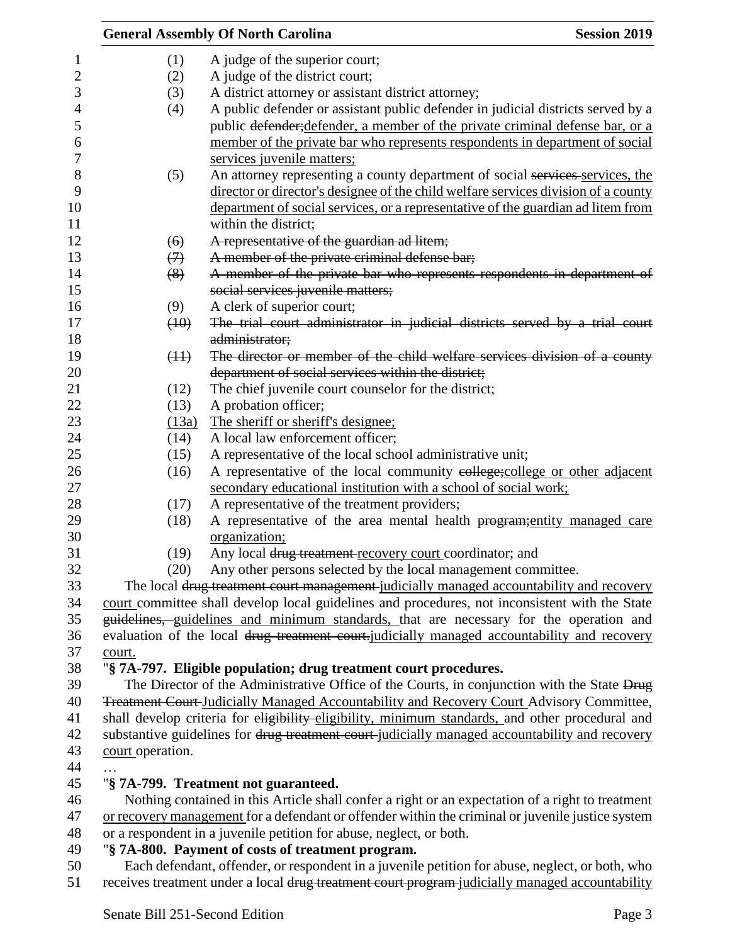|                                                                                                   |                                                                                                                          | <b>General Assembly Of North Carolina</b>                                                                                                                                             | <b>Session 2019</b> |  |  |
|---------------------------------------------------------------------------------------------------|--------------------------------------------------------------------------------------------------------------------------|---------------------------------------------------------------------------------------------------------------------------------------------------------------------------------------|---------------------|--|--|
|                                                                                                   | (1)                                                                                                                      | A judge of the superior court;                                                                                                                                                        |                     |  |  |
|                                                                                                   | (2)                                                                                                                      | A judge of the district court;                                                                                                                                                        |                     |  |  |
|                                                                                                   | (3)                                                                                                                      | A district attorney or assistant district attorney;                                                                                                                                   |                     |  |  |
|                                                                                                   | (4)                                                                                                                      | A public defender or assistant public defender in judicial districts served by a                                                                                                      |                     |  |  |
|                                                                                                   |                                                                                                                          | public defender; defender, a member of the private criminal defense bar, or a                                                                                                         |                     |  |  |
|                                                                                                   |                                                                                                                          | member of the private bar who represents respondents in department of social                                                                                                          |                     |  |  |
|                                                                                                   |                                                                                                                          | services juvenile matters;                                                                                                                                                            |                     |  |  |
|                                                                                                   | (5)                                                                                                                      | An attorney representing a county department of social services services, the                                                                                                         |                     |  |  |
|                                                                                                   |                                                                                                                          | director or director's designee of the child welfare services division of a county                                                                                                    |                     |  |  |
|                                                                                                   |                                                                                                                          | department of social services, or a representative of the guardian ad litem from                                                                                                      |                     |  |  |
|                                                                                                   |                                                                                                                          | within the district;                                                                                                                                                                  |                     |  |  |
|                                                                                                   | (6)                                                                                                                      | A representative of the guardian ad litem;                                                                                                                                            |                     |  |  |
|                                                                                                   |                                                                                                                          | A member of the private criminal defense bar;                                                                                                                                         |                     |  |  |
|                                                                                                   | $\leftrightarrow$<br>(8)                                                                                                 | A member of the private bar who represents respondents in department of                                                                                                               |                     |  |  |
|                                                                                                   |                                                                                                                          | social services juvenile matters;                                                                                                                                                     |                     |  |  |
|                                                                                                   |                                                                                                                          |                                                                                                                                                                                       |                     |  |  |
|                                                                                                   | (9)                                                                                                                      | A clerk of superior court;<br>The trial court administrator in judicial districts served by a trial court                                                                             |                     |  |  |
|                                                                                                   | (10)                                                                                                                     |                                                                                                                                                                                       |                     |  |  |
|                                                                                                   |                                                                                                                          | administrator;<br>The director or member of the child welfare services division of a county                                                                                           |                     |  |  |
|                                                                                                   | (11)                                                                                                                     |                                                                                                                                                                                       |                     |  |  |
|                                                                                                   |                                                                                                                          | department of social services within the district;                                                                                                                                    |                     |  |  |
|                                                                                                   | (12)                                                                                                                     | The chief juvenile court counselor for the district;                                                                                                                                  |                     |  |  |
|                                                                                                   | (13)                                                                                                                     | A probation officer;                                                                                                                                                                  |                     |  |  |
|                                                                                                   | (13a)                                                                                                                    | The sheriff or sheriff's designee;<br>A local law enforcement officer;                                                                                                                |                     |  |  |
|                                                                                                   | (14)                                                                                                                     |                                                                                                                                                                                       |                     |  |  |
|                                                                                                   | (15)                                                                                                                     | A representative of the local school administrative unit;                                                                                                                             |                     |  |  |
|                                                                                                   | (16)                                                                                                                     | A representative of the local community eollege; college or other adjacent                                                                                                            |                     |  |  |
|                                                                                                   |                                                                                                                          | secondary educational institution with a school of social work;                                                                                                                       |                     |  |  |
|                                                                                                   | (17)                                                                                                                     | A representative of the treatment providers;                                                                                                                                          |                     |  |  |
|                                                                                                   | (18)                                                                                                                     | A representative of the area mental health program; entity managed care<br>organization;                                                                                              |                     |  |  |
|                                                                                                   | (19)                                                                                                                     | Any local drug treatment recovery court coordinator; and                                                                                                                              |                     |  |  |
|                                                                                                   | (20)                                                                                                                     | Any other persons selected by the local management committee.                                                                                                                         |                     |  |  |
|                                                                                                   |                                                                                                                          |                                                                                                                                                                                       |                     |  |  |
|                                                                                                   |                                                                                                                          | The local drug treatment court management-judicially managed accountability and recovery                                                                                              |                     |  |  |
|                                                                                                   |                                                                                                                          | court committee shall develop local guidelines and procedures, not inconsistent with the State                                                                                        |                     |  |  |
|                                                                                                   |                                                                                                                          | guidelines, guidelines and minimum standards, that are necessary for the operation and<br>evaluation of the local drug treatment court-judicially managed accountability and recovery |                     |  |  |
|                                                                                                   |                                                                                                                          |                                                                                                                                                                                       |                     |  |  |
|                                                                                                   | court.                                                                                                                   |                                                                                                                                                                                       |                     |  |  |
|                                                                                                   |                                                                                                                          | "§ 7A-797. Eligible population; drug treatment court procedures.                                                                                                                      |                     |  |  |
|                                                                                                   |                                                                                                                          | The Director of the Administrative Office of the Courts, in conjunction with the State Drug                                                                                           |                     |  |  |
| <b>Treatment Court-Judicially Managed Accountability and Recovery Court Advisory Committee,</b>   |                                                                                                                          |                                                                                                                                                                                       |                     |  |  |
| shall develop criteria for eligibility-eligibility, minimum standards, and other procedural and   |                                                                                                                          |                                                                                                                                                                                       |                     |  |  |
| substantive guidelines for drug treatment court-judicially managed accountability and recovery    |                                                                                                                          |                                                                                                                                                                                       |                     |  |  |
|                                                                                                   | court operation.                                                                                                         |                                                                                                                                                                                       |                     |  |  |
|                                                                                                   |                                                                                                                          |                                                                                                                                                                                       |                     |  |  |
| "§ 7A-799. Treatment not guaranteed.                                                              |                                                                                                                          |                                                                                                                                                                                       |                     |  |  |
| Nothing contained in this Article shall confer a right or an expectation of a right to treatment  |                                                                                                                          |                                                                                                                                                                                       |                     |  |  |
| or recovery management for a defendant or offender within the criminal or juvenile justice system |                                                                                                                          |                                                                                                                                                                                       |                     |  |  |
|                                                                                                   | or a respondent in a juvenile petition for abuse, neglect, or both.<br>"§ 7A-800. Payment of costs of treatment program. |                                                                                                                                                                                       |                     |  |  |
|                                                                                                   |                                                                                                                          |                                                                                                                                                                                       |                     |  |  |
|                                                                                                   |                                                                                                                          | Each defendant, offender, or respondent in a juvenile petition for abuse, neglect, or both, who                                                                                       |                     |  |  |
|                                                                                                   | receives treatment under a local drug treatment court program-judicially managed accountability                          |                                                                                                                                                                                       |                     |  |  |